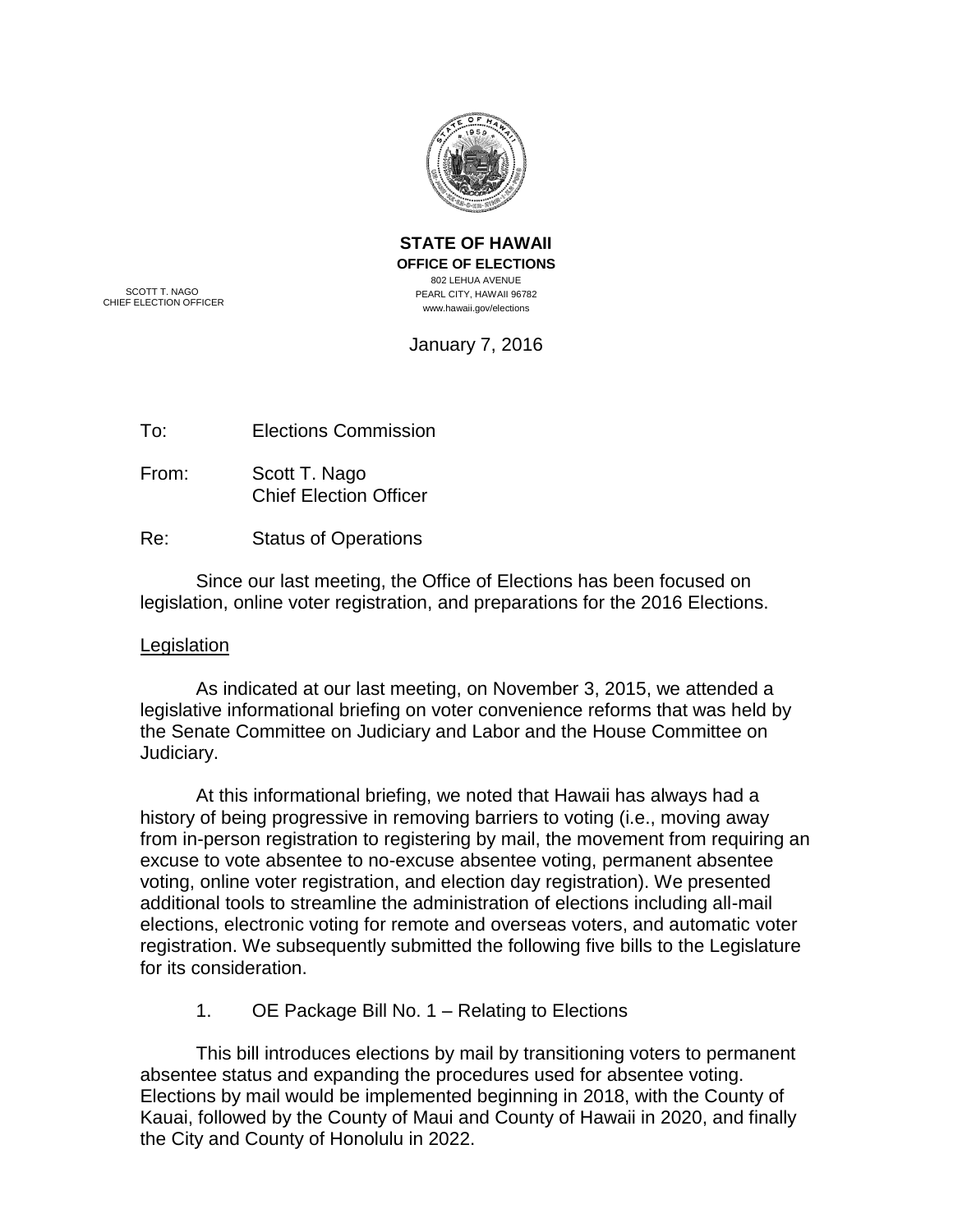

**STATE OF HAWAII OFFICE OF ELECTIONS** 802 LEHUA AVENUE PEARL CITY, HAWAII 96782 www.hawaii.gov/elections

SCOTT T. NAGO CHIEF ELECTION OFFICER

January 7, 2016

To: Elections Commission

From: Scott T. Nago Chief Election Officer

Re: Status of Operations

Since our last meeting, the Office of Elections has been focused on legislation, online voter registration, and preparations for the 2016 Elections.

### **Legislation**

As indicated at our last meeting, on November 3, 2015, we attended a legislative informational briefing on voter convenience reforms that was held by the Senate Committee on Judiciary and Labor and the House Committee on Judiciary.

At this informational briefing, we noted that Hawaii has always had a history of being progressive in removing barriers to voting (i.e., moving away from in-person registration to registering by mail, the movement from requiring an excuse to vote absentee to no-excuse absentee voting, permanent absentee voting, online voter registration, and election day registration). We presented additional tools to streamline the administration of elections including all-mail elections, electronic voting for remote and overseas voters, and automatic voter registration. We subsequently submitted the following five bills to the Legislature for its consideration.

1. OE Package Bill No. 1 – Relating to Elections

This bill introduces elections by mail by transitioning voters to permanent absentee status and expanding the procedures used for absentee voting. Elections by mail would be implemented beginning in 2018, with the County of Kauai, followed by the County of Maui and County of Hawaii in 2020, and finally the City and County of Honolulu in 2022.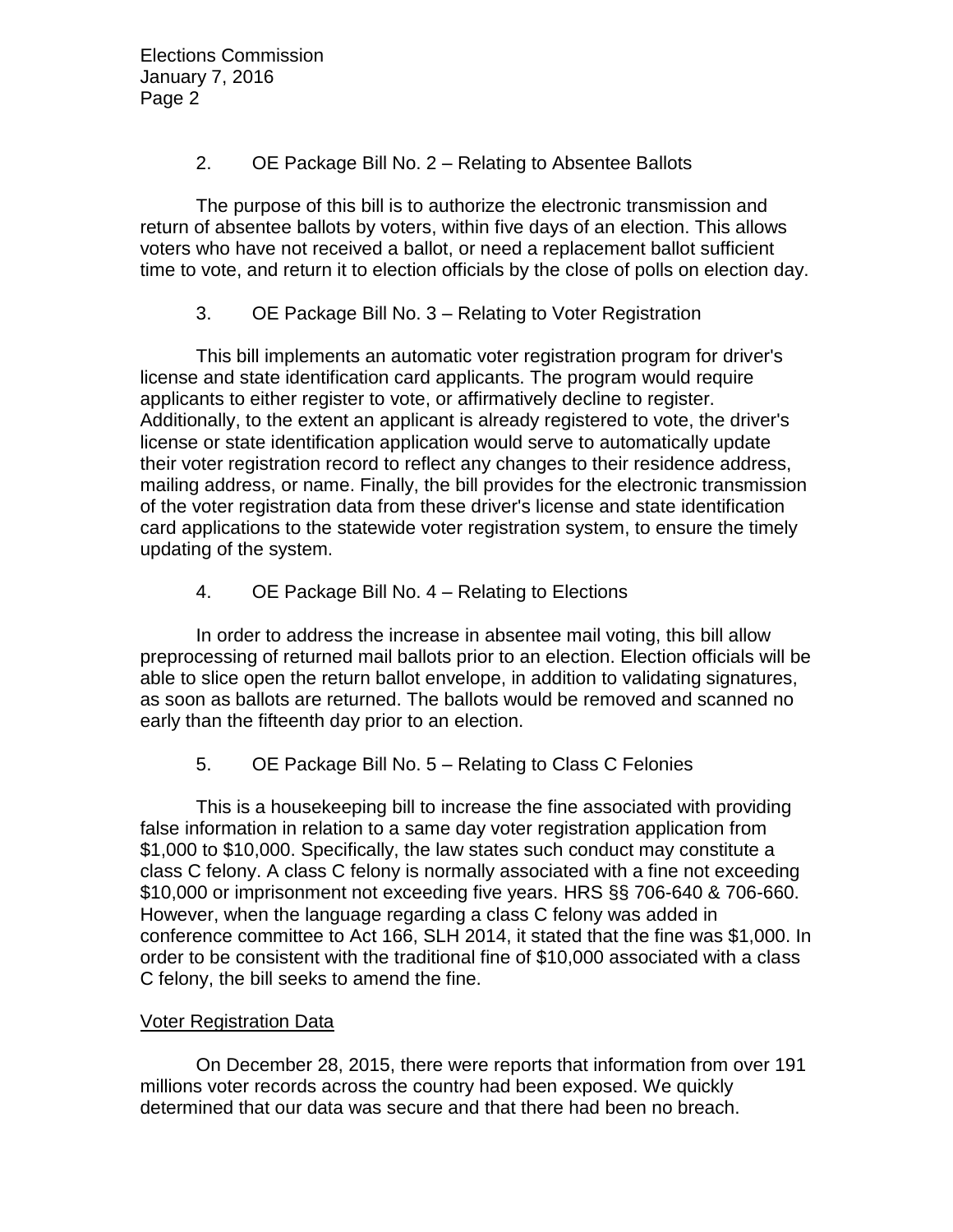Elections Commission January 7, 2016 Page 2

## 2. OE Package Bill No. 2 – Relating to Absentee Ballots

The purpose of this bill is to authorize the electronic transmission and return of absentee ballots by voters, within five days of an election. This allows voters who have not received a ballot, or need a replacement ballot sufficient time to vote, and return it to election officials by the close of polls on election day.

# 3. OE Package Bill No. 3 – Relating to Voter Registration

This bill implements an automatic voter registration program for driver's license and state identification card applicants. The program would require applicants to either register to vote, or affirmatively decline to register. Additionally, to the extent an applicant is already registered to vote, the driver's license or state identification application would serve to automatically update their voter registration record to reflect any changes to their residence address, mailing address, or name. Finally, the bill provides for the electronic transmission of the voter registration data from these driver's license and state identification card applications to the statewide voter registration system, to ensure the timely updating of the system.

# 4. OE Package Bill No. 4 – Relating to Elections

In order to address the increase in absentee mail voting, this bill allow preprocessing of returned mail ballots prior to an election. Election officials will be able to slice open the return ballot envelope, in addition to validating signatures, as soon as ballots are returned. The ballots would be removed and scanned no early than the fifteenth day prior to an election.

5. OE Package Bill No. 5 – Relating to Class C Felonies

This is a housekeeping bill to increase the fine associated with providing false information in relation to a same day voter registration application from \$1,000 to \$10,000. Specifically, the law states such conduct may constitute a class C felony. A class C felony is normally associated with a fine not exceeding \$10,000 or imprisonment not exceeding five years. HRS §§ 706-640 & 706-660. However, when the language regarding a class C felony was added in conference committee to Act 166, SLH 2014, it stated that the fine was \$1,000. In order to be consistent with the traditional fine of \$10,000 associated with a class C felony, the bill seeks to amend the fine.

### Voter Registration Data

On December 28, 2015, there were reports that information from over 191 millions voter records across the country had been exposed. We quickly determined that our data was secure and that there had been no breach.